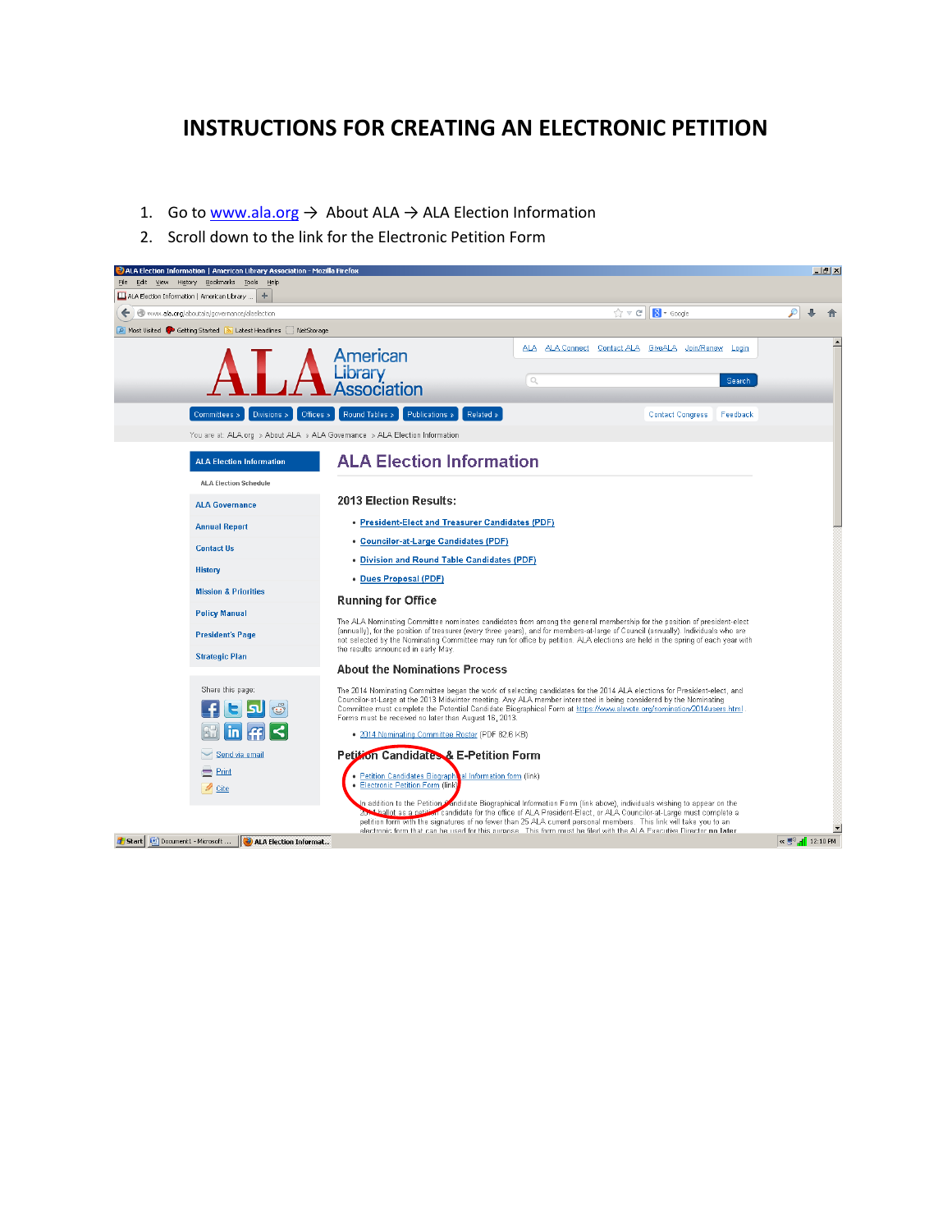## **INSTRUCTIONS FOR CREATING AN ELECTRONIC PETITION**

- 1. Go to [www.ala.org](http://www.ala.org/)  $\rightarrow$  About ALA  $\rightarrow$  ALA Election Information
- 2. Scroll down to the link for the Electronic Petition Form

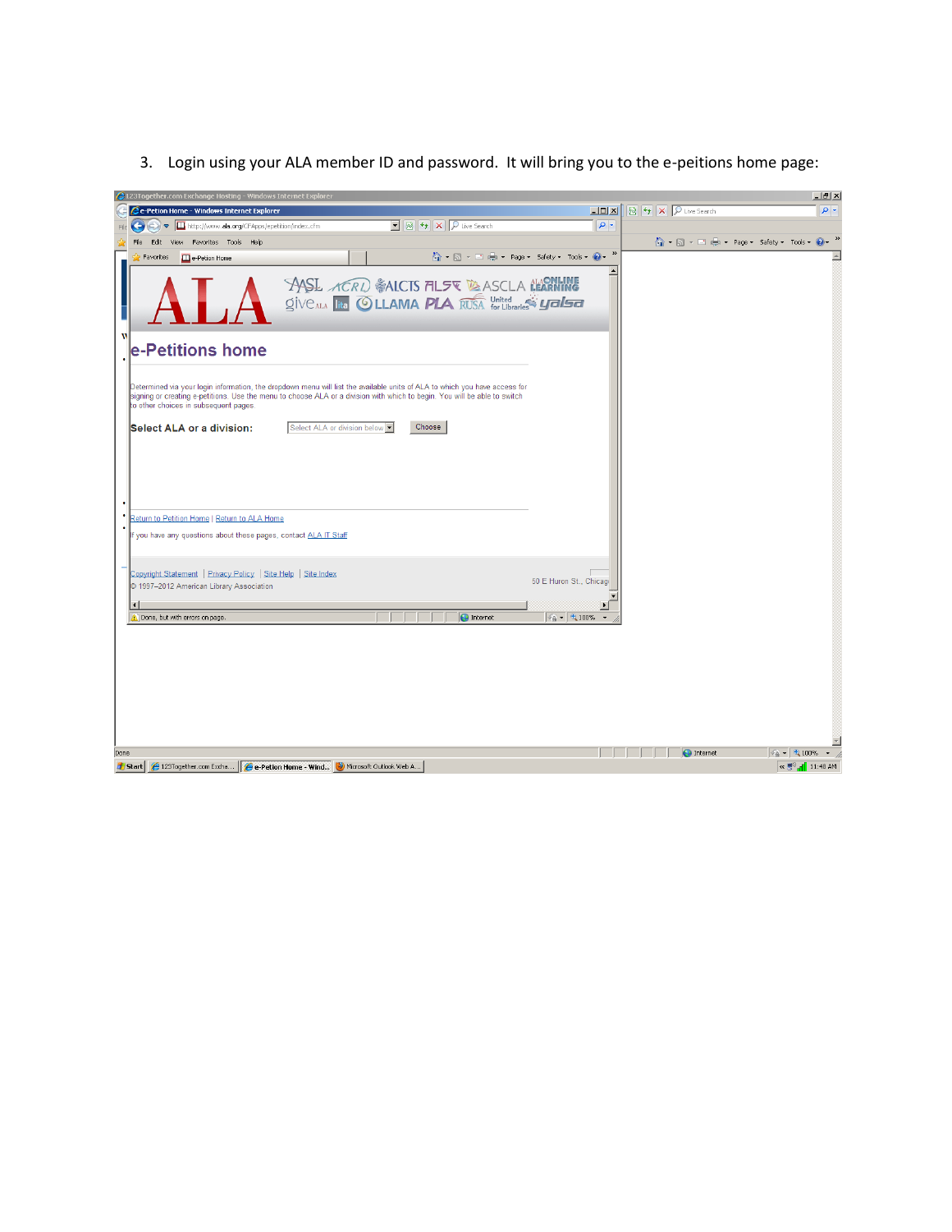|      | 123Together.com Exchange Hosting - Windows Internet Explorer                                                                                                                            |                                                                                                                                                                                                                                                                                         |                                                                                                                 |                                    |                                              | $-1$ $\sigma$ $\vert$ $\times$                                                                                                                                                                                            |
|------|-----------------------------------------------------------------------------------------------------------------------------------------------------------------------------------------|-----------------------------------------------------------------------------------------------------------------------------------------------------------------------------------------------------------------------------------------------------------------------------------------|-----------------------------------------------------------------------------------------------------------------|------------------------------------|----------------------------------------------|---------------------------------------------------------------------------------------------------------------------------------------------------------------------------------------------------------------------------|
|      | e-Petion Home - Windows Internet Explorer                                                                                                                                               |                                                                                                                                                                                                                                                                                         |                                                                                                                 | $ Z =  Z $                         | <b>A</b> $\sqrt{4}$ X $\sqrt{2}$ Live Search | $\rho$ .                                                                                                                                                                                                                  |
|      | Time http://www.ala.org/CFApps/epetition/index.cfm                                                                                                                                      |                                                                                                                                                                                                                                                                                         | $\boxed{\blacksquare}$ $\boxed{\blacksquare}$ $\boxed{\blacklozenge}$ $\boxed{\blacktriangleright}$ Live Search | $\rho$ .                           |                                              |                                                                                                                                                                                                                           |
|      | File<br>View Favorites Tools Help<br>Edit                                                                                                                                               |                                                                                                                                                                                                                                                                                         |                                                                                                                 |                                    |                                              | $\overline{\mathbb{C}}$ $\cdot$ $\overline{\mathbb{N}}$ $\cdot$ $\overline{\mathbb{C}}$ $\overline{\mathbb{C}}$ $\cdot$ Page $\cdot$ Safety $\cdot$ Tools $\cdot$ $\overline{\mathbb{Q}}$ $\cdot$ $\overline{\mathbb{R}}$ |
|      | Favorites<br><b>ED</b> e-Petion Home                                                                                                                                                    |                                                                                                                                                                                                                                                                                         | A → 同 → 曰 — → Page → Safety → Tools → 2 →                                                                       |                                    |                                              |                                                                                                                                                                                                                           |
| М    |                                                                                                                                                                                         | <b>ASL ACRI</b> SAICTS <b>ALER TO ASCLA CONTINE</b><br>Give ala lite <b>© LLAMA PLA</b> RUSA United Structures <b>yalsa</b>                                                                                                                                                             |                                                                                                                 |                                    |                                              |                                                                                                                                                                                                                           |
|      | e-Petitions home                                                                                                                                                                        |                                                                                                                                                                                                                                                                                         |                                                                                                                 |                                    |                                              |                                                                                                                                                                                                                           |
|      | to other choices in subsequent pages.<br>Select ALA or a division:<br>Return to Petition Home   Return to ALA Home<br>If you have any questions about these pages, contact ALA IT Staff | Determined via your login information, the dropdown menu will list the available units of ALA to which you have access for<br>signing or creating e-petitions. Use the menu to choose ALA or a division with which to begin. You will be able to switch<br>Select ALA or division below | Choose                                                                                                          |                                    |                                              |                                                                                                                                                                                                                           |
|      |                                                                                                                                                                                         |                                                                                                                                                                                                                                                                                         |                                                                                                                 |                                    |                                              |                                                                                                                                                                                                                           |
|      | Copyright Statement   Privacy Policy   Site Help   Site Index<br>C 1997-2012 American Library Association                                                                               |                                                                                                                                                                                                                                                                                         |                                                                                                                 | 50 E Huron St., Chicago            |                                              |                                                                                                                                                                                                                           |
|      |                                                                                                                                                                                         |                                                                                                                                                                                                                                                                                         |                                                                                                                 |                                    |                                              |                                                                                                                                                                                                                           |
|      | $\vert \cdot \vert$<br>Done, but with errors on page.                                                                                                                                   |                                                                                                                                                                                                                                                                                         | nternet                                                                                                         | $\frac{1}{4}$ - $\frac{1}{4}$ 100% |                                              |                                                                                                                                                                                                                           |
|      |                                                                                                                                                                                         |                                                                                                                                                                                                                                                                                         |                                                                                                                 |                                    |                                              |                                                                                                                                                                                                                           |
| Done |                                                                                                                                                                                         |                                                                                                                                                                                                                                                                                         |                                                                                                                 |                                    | $\bigodot$ Internet                          | $\frac{1}{4}$ - $\frac{1}{4}$ 100%                                                                                                                                                                                        |
|      | <b>d'Istart</b>                                                                                                                                                                         | 4 123Together.com Excha   4 e-Petion Home - Wind (2) Microsoft Outlook Web A                                                                                                                                                                                                            |                                                                                                                 |                                    |                                              | $\alpha$ $\mathbb{R}^{(i)}$<br>11:48 AM                                                                                                                                                                                   |

3. Login using your ALA member ID and password. It will bring you to the e-peitions home page: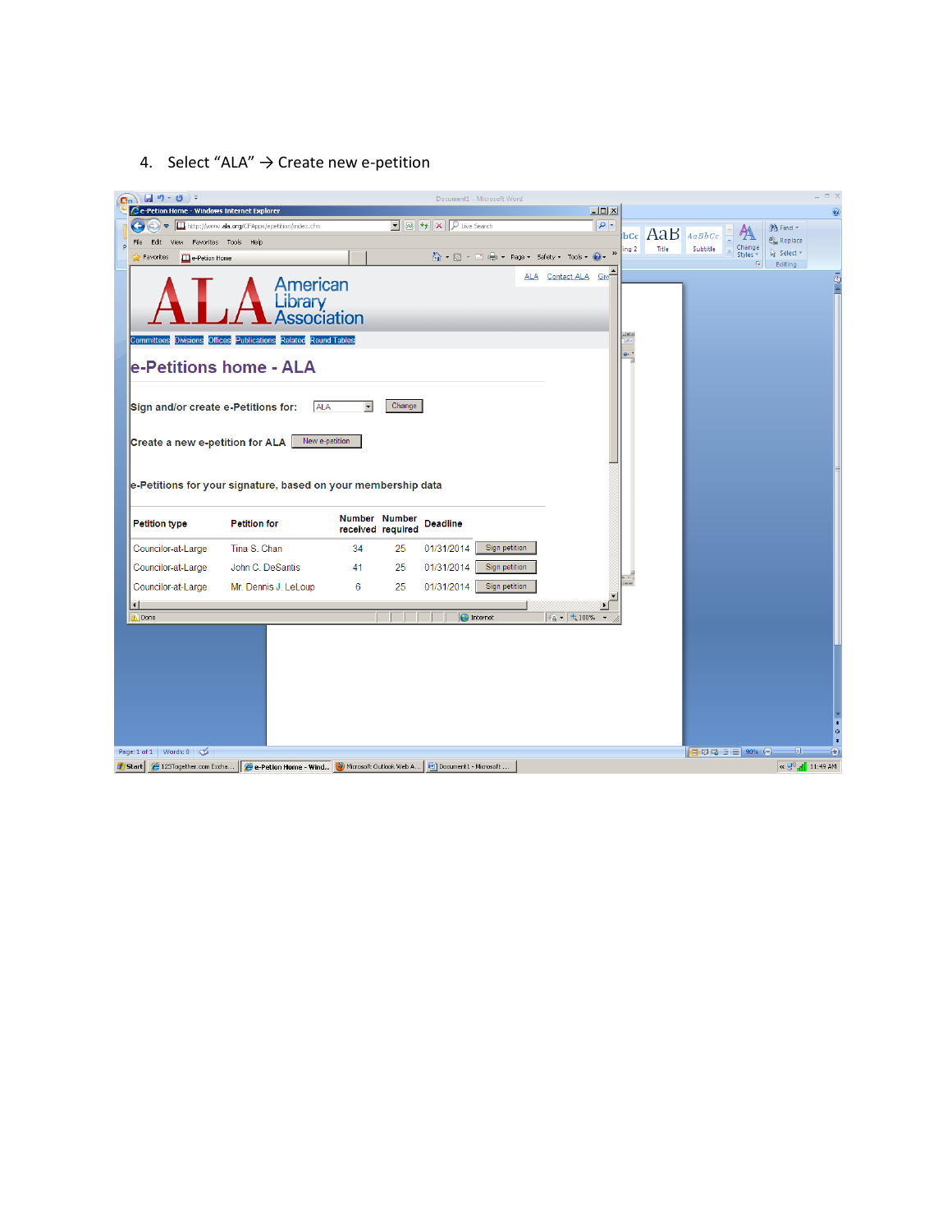4. Select "ALA"  $\rightarrow$  Create new e-petition

| $\left(\begin{array}{c} \mathbf{G} \end{array}\right)$ $\left[\begin{array}{c} \mathbf{H} & \mathbf{0} \end{array}\right]$ = |                                                                       |                                    | Document1 - Microsoft Word                                                                                      |                                           |                                  |       |                                           |                                     | $\pi$ x        |
|------------------------------------------------------------------------------------------------------------------------------|-----------------------------------------------------------------------|------------------------------------|-----------------------------------------------------------------------------------------------------------------|-------------------------------------------|----------------------------------|-------|-------------------------------------------|-------------------------------------|----------------|
| e-Petion Home - Windows Internet Explorer                                                                                    |                                                                       |                                    | $\boxed{\blacksquare}$ $\boxed{\blacksquare}$ $\boxed{\blacklozenge}$ $\boxed{\blacktriangleright}$ Live Search |                                           | $\Box$<br>$\overline{\alpha}$    |       |                                           |                                     | $\circledcirc$ |
| File<br>Edit<br>View                                                                                                         | http://www.ala.org/CFApps/epetition/index.cfm<br>Favorites Tools Help |                                    |                                                                                                                 |                                           | bCc                              |       | AaB AaBbCc.                               | <sup>2</sup> h Find *<br>ab Replace |                |
| Favorites<br><b>ED</b> e-Petion Home                                                                                         |                                                                       |                                    |                                                                                                                 | A → 同 → 国 — → Page → Safety → Tools → 2 → | ing <sub>2</sub><br>$_{\rm \nu}$ | Title | Change<br>Subtitle<br>Styles <sup>*</sup> | & Select *                          |                |
|                                                                                                                              | American<br>Library<br>Association                                    |                                    |                                                                                                                 | ALA Contact ALA                           | $\n  Giv\n$                      |       | $\overline{\mathrm{N}}_2$                 | Editing                             | rist.          |
|                                                                                                                              | Committees Divisions Offices Publications Related Round Tables        |                                    |                                                                                                                 |                                           | 1212                             |       |                                           |                                     |                |
|                                                                                                                              | le-Petitions home - ALA                                               |                                    |                                                                                                                 |                                           |                                  |       |                                           |                                     |                |
| Sign and/or create e-Petitions for:                                                                                          | <b>ALA</b>                                                            |                                    | Change                                                                                                          |                                           |                                  |       |                                           |                                     |                |
| Create a new e-petition for ALA                                                                                              | New e-petition                                                        |                                    |                                                                                                                 |                                           |                                  |       |                                           |                                     |                |
|                                                                                                                              | e-Petitions for your signature, based on your membership data         |                                    |                                                                                                                 |                                           |                                  |       |                                           |                                     |                |
| <b>Petition type</b>                                                                                                         | <b>Petition for</b>                                                   | Number Number<br>received required | <b>Deadline</b>                                                                                                 |                                           |                                  |       |                                           |                                     |                |
| Councilor-at-Large                                                                                                           | Tina S. Chan                                                          | 34                                 | 01/31/2014<br>25                                                                                                | Sign petition                             |                                  |       |                                           |                                     |                |
| Councilor-at-Large                                                                                                           | John C. DeSantis                                                      | 41                                 | 01/31/2014<br>25                                                                                                | Sign petition                             |                                  |       |                                           |                                     |                |
| Councilor-at-Large                                                                                                           | Mr. Dennis J. LeLoup                                                  | 6                                  | 01/31/2014<br>25                                                                                                | Sign petition                             |                                  |       |                                           |                                     |                |
| $\left  \cdot \right $                                                                                                       |                                                                       |                                    |                                                                                                                 |                                           |                                  |       |                                           |                                     |                |
| <b>A</b> Done                                                                                                                |                                                                       |                                    | nternet                                                                                                         | $\frac{1}{2}$ - $\frac{1}{2}$ 100%        |                                  |       |                                           |                                     |                |
|                                                                                                                              |                                                                       |                                    |                                                                                                                 |                                           |                                  |       |                                           |                                     |                |
|                                                                                                                              |                                                                       |                                    |                                                                                                                 |                                           |                                  |       |                                           |                                     |                |
|                                                                                                                              |                                                                       |                                    |                                                                                                                 |                                           |                                  |       |                                           |                                     |                |
|                                                                                                                              |                                                                       |                                    |                                                                                                                 |                                           |                                  |       |                                           |                                     |                |
|                                                                                                                              |                                                                       |                                    |                                                                                                                 |                                           |                                  |       |                                           |                                     |                |
|                                                                                                                              |                                                                       |                                    |                                                                                                                 |                                           |                                  |       |                                           |                                     | ö              |
| Page: 1 of 1 Words: 0                                                                                                        |                                                                       |                                    |                                                                                                                 |                                           |                                  |       | 日印日日目90%日                                 | - ①                                 | $\bigcirc$     |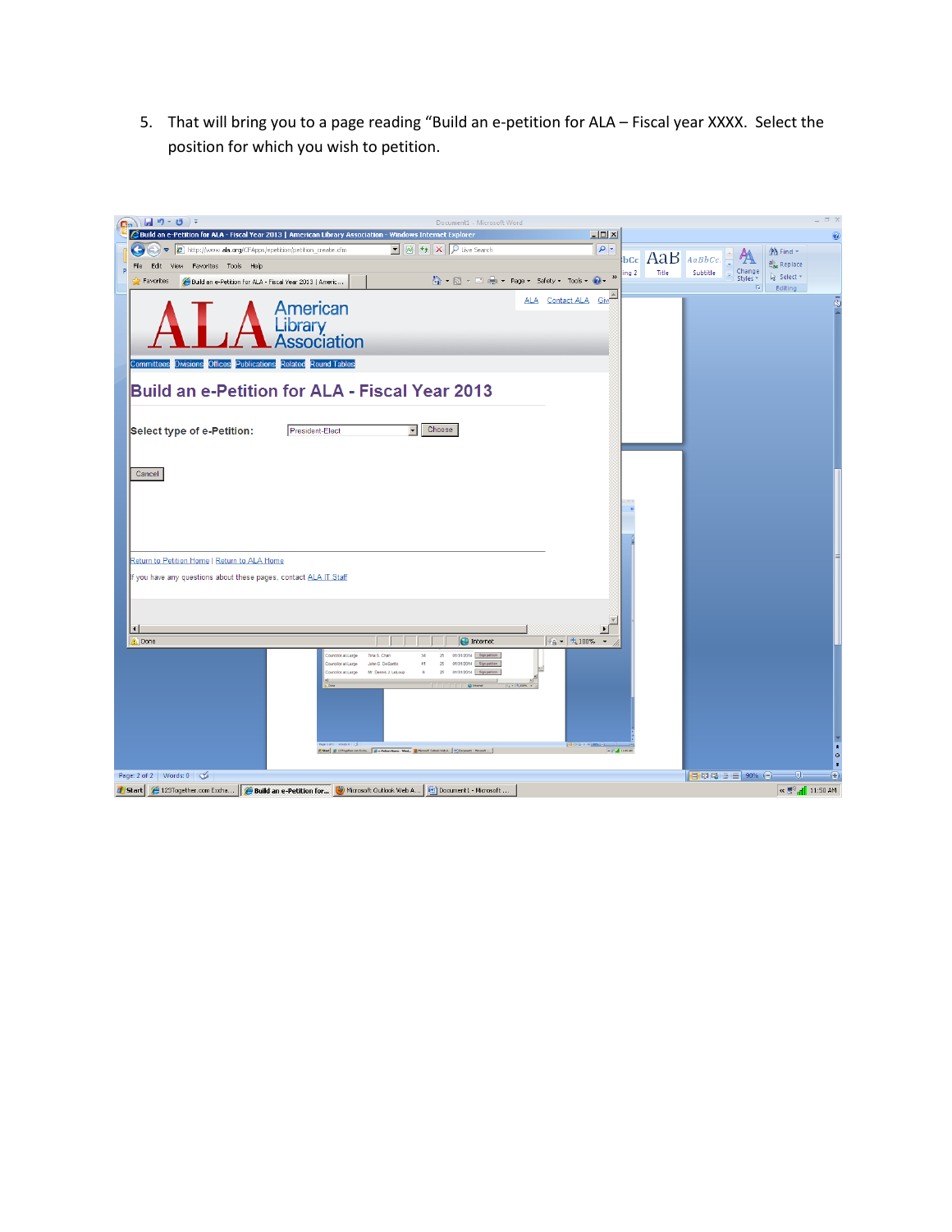5. That will bring you to a page reading "Build an e-petition for ALA – Fiscal year XXXX. Select the position for which you wish to petition.

| $\left(\begin{array}{c} \blacksquare_n \end{array}\right)$ $\left(\begin{array}{c} \blacksquare & \blacksquare & \blacksquare \end{array}\right)$ $\tau$ | Document1 - Microsoft Word                                                                                                                                |                                                             |                 |                       |                                                     | $\pi$ x    |
|----------------------------------------------------------------------------------------------------------------------------------------------------------|-----------------------------------------------------------------------------------------------------------------------------------------------------------|-------------------------------------------------------------|-----------------|-----------------------|-----------------------------------------------------|------------|
| Build an e-Petition for ALA - Fiscal Year 2013   American Library Association - Windows Internet Explorer                                                |                                                                                                                                                           | $\Box$                                                      |                 |                       |                                                     | $\bullet$  |
| http://www.ala.org/CFApps/epetition/petition_create.cfm                                                                                                  | $\boxed{\blacksquare}$ $\boxed{\blacksquare}$ $\boxed{\blacklozenge}$ $\boxed{\blacktriangleright}$ Live Search                                           | $\rho$ .                                                    | bcc AaB AaBbcc. |                       | <sup>2</sup> Find *                                 |            |
| Edit<br>View Favorites Tools Help<br>File                                                                                                                |                                                                                                                                                           |                                                             | Title<br>ing 2  | Change<br>Subtitle    | ab Replace                                          |            |
| Favorites<br>Build an e-Petition for ALA - Fiscal Year 2013   Americ                                                                                     |                                                                                                                                                           | $_{\rm \star}$<br>A → 同 → □ ■ → Page → Safety → Tools → ● → |                 | Styles *<br><b>IS</b> | Select *<br>Editing                                 |            |
| American<br>Library<br>Association                                                                                                                       |                                                                                                                                                           | ALA Contact ALA Give                                        |                 |                       |                                                     | ā          |
| Committees Divisions Offices Publications Related Round Tables                                                                                           |                                                                                                                                                           |                                                             |                 |                       |                                                     |            |
| <b>Build an e-Petition for ALA - Fiscal Year 2013</b><br>Select type of e-Petition:<br>President-Elect                                                   | Choose<br>▾▏                                                                                                                                              |                                                             |                 |                       |                                                     |            |
| Cancel                                                                                                                                                   |                                                                                                                                                           |                                                             |                 |                       |                                                     |            |
|                                                                                                                                                          |                                                                                                                                                           |                                                             |                 |                       |                                                     |            |
| Return to Petition Home   Return to ALA Home                                                                                                             |                                                                                                                                                           |                                                             |                 |                       |                                                     |            |
| If you have any questions about these pages, contact ALA IT Staff<br>$\vert \cdot \vert$                                                                 |                                                                                                                                                           |                                                             |                 |                       |                                                     |            |
| <b>A</b> Done                                                                                                                                            | nternet                                                                                                                                                   | $\frac{1}{4}$ - $\frac{1}{4}$ 100%                          |                 |                       |                                                     |            |
| inclorata area                                                                                                                                           | 01/31/2014 Sign petition<br>Tina S. Chan<br>25<br>34<br>01/31/2014 Sign pet<br>John C. DeSantis<br>Mr. Dennis J. LeLou<br>in Eicha <b>C</b> e Petion Home | 000000<br>$-5$ $\pm$ 1.00 av                                |                 |                       |                                                     |            |
| Page: 2 of 2 Words: 0 $\&$                                                                                                                               |                                                                                                                                                           |                                                             |                 | 目印电话目 90% (一)         | $\overline{\mathbb{Q}}$                             | $^{\circ}$ |
| Start   @ 123Together.com Excha     @ Build an e-Petition for   @ Microsoft Outlook Web A   @ Document1 - Microsoft                                      |                                                                                                                                                           |                                                             |                 |                       | $\propto \frac{m}{\sqrt{3}}$ $\frac{1}{2}$ 11:50 AM |            |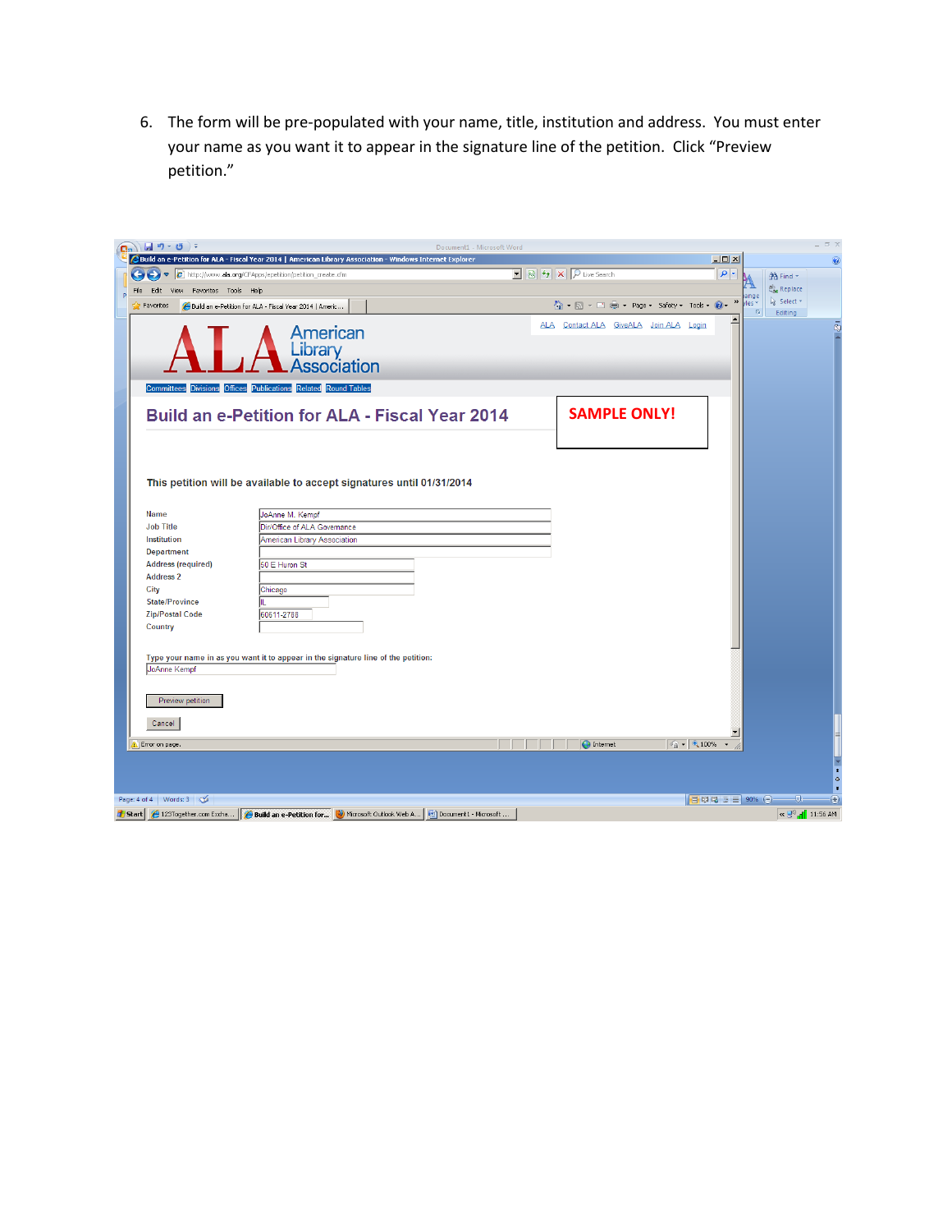6. The form will be pre-populated with your name, title, institution and address. You must enter your name as you want it to appear in the signature line of the petition. Click "Preview petition."

| $\left(\begin{array}{c} \mathbf{C}_{n} \end{array}\right)$ $\left[\begin{array}{c} \mathbf{C}_{n} \end{array}\right]$ + $\left(\begin{array}{c} \mathbf{C}_{n} \end{array}\right)$ + |                                                                                                                                                          | Document1 - Microsoft Word                                                                           |                                                                                      | $\sigma$ x                                               |
|--------------------------------------------------------------------------------------------------------------------------------------------------------------------------------------|----------------------------------------------------------------------------------------------------------------------------------------------------------|------------------------------------------------------------------------------------------------------|--------------------------------------------------------------------------------------|----------------------------------------------------------|
|                                                                                                                                                                                      | Build an e-Petition for ALA - Fiscal Year 2014   American Library Association - Windows Internet Explorer                                                |                                                                                                      | $\Box$ D $\Box$                                                                      | $\circledcirc$                                           |
| $\bigodot$ $\bigodot$ $\bigodot$                                                                                                                                                     | http://www.ala.org/CFApps/epetition/petition_create.cfm                                                                                                  | $\boxed{\cdot}$ $\boxed{\otimes}$ $\boxed{\cdot}$ $\boxed{\times}$ $\boxed{\mathcal{P}}$ Live Search | $\rho$ .                                                                             | A Find *                                                 |
| View Favorites Tools Help<br>File<br>Edit                                                                                                                                            |                                                                                                                                                          |                                                                                                      | ange                                                                                 | ab <sub>ac</sub> Replace                                 |
| Favorites                                                                                                                                                                            | Build an e-Petition for ALA - Fiscal Year 2014   Americ                                                                                                  |                                                                                                      | $\,$<br>个 同 · □ 曲 · Page · Safety · Tools · 2<br>yles +<br>$\overline{\mathrm{M}}_2$ | Select *<br>Editing                                      |
|                                                                                                                                                                                      | <b>American</b><br>Library<br>Association                                                                                                                |                                                                                                      | ALA Contact ALA GiveALA Join ALA<br>Login                                            | ā                                                        |
|                                                                                                                                                                                      | <b>Committees Divisions Offices Publications Related Round Tables</b>                                                                                    |                                                                                                      |                                                                                      |                                                          |
|                                                                                                                                                                                      | <b>Build an e-Petition for ALA - Fiscal Year 2014</b>                                                                                                    |                                                                                                      | <b>SAMPLE ONLY!</b>                                                                  |                                                          |
| <b>Name</b><br><b>Job Title</b><br>Institution                                                                                                                                       | This petition will be available to accept signatures until 01/31/2014<br>JoAnne M. Kempf<br>Dir/Office of ALA Governance<br>American Library Association |                                                                                                      |                                                                                      |                                                          |
| <b>Department</b><br><b>Address (required)</b><br><b>Address 2</b><br>City<br><b>State/Province</b>                                                                                  | 50 E Huron St<br>Chicago                                                                                                                                 |                                                                                                      |                                                                                      |                                                          |
| <b>Zip/Postal Code</b><br>Country                                                                                                                                                    | 60611-2788<br>Type your name in as you want it to appear in the signature line of the petition:                                                          |                                                                                                      |                                                                                      |                                                          |
| JoAnne Kempf<br>Preview petition                                                                                                                                                     |                                                                                                                                                          |                                                                                                      |                                                                                      |                                                          |
| Cancel<br>Error on page.                                                                                                                                                             |                                                                                                                                                          | nternet                                                                                              | $\frac{1}{2}$ + $\frac{1}{2}$ 100% +                                                 |                                                          |
| Page: 4 of 4 Words: 3                                                                                                                                                                |                                                                                                                                                          |                                                                                                      | 日印日酒目90%日                                                                            | $-\nabla$<br>$\bigoplus$                                 |
|                                                                                                                                                                                      | <b>d</b> Start (123Together.com Excha (29 Build an e-Petition for (2) Microsoft Outlook Web A (20) Document1 - Microsoft                                 |                                                                                                      |                                                                                      | $\left[\frac{1}{2}$ $\frac{1}{2}$ $\frac{1}{2}$ 11:56 AM |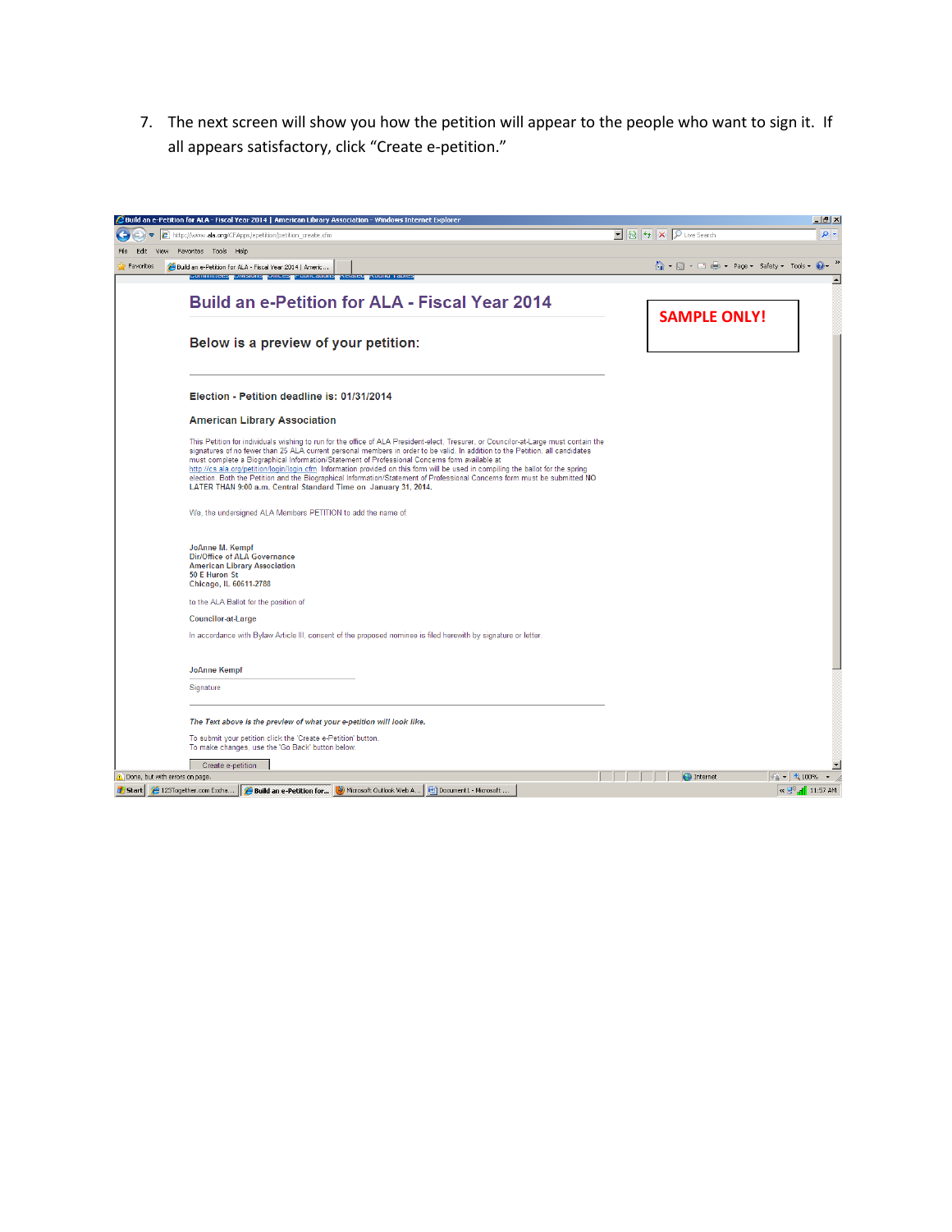7. The next screen will show you how the petition will appear to the people who want to sign it. If all appears satisfactory, click "Create e-petition."

|                     | e http://www.ala.org/CFApps/epetition/petition_create.cfm                                                                                                                                                                                                                                                                                                                                                                                                                                                                                                                                                                                                                                                   |                               | $-10$ $\times$<br>- م |
|---------------------|-------------------------------------------------------------------------------------------------------------------------------------------------------------------------------------------------------------------------------------------------------------------------------------------------------------------------------------------------------------------------------------------------------------------------------------------------------------------------------------------------------------------------------------------------------------------------------------------------------------------------------------------------------------------------------------------------------------|-------------------------------|-----------------------|
| <b>View</b><br>Fdit | Favorites Tools Help                                                                                                                                                                                                                                                                                                                                                                                                                                                                                                                                                                                                                                                                                        |                               |                       |
| Favorites           | Build an e-Petition for ALA - Fiscal Year 2014   Americ<br><b>COMMUNICATION CONCEPT CONCERNS CONTINUES</b><br><b>Nuuriu Tau</b>                                                                                                                                                                                                                                                                                                                                                                                                                                                                                                                                                                             | 个・同・□ 貞・ Page・ Safety・ Tools・ |                       |
|                     | <b>Build an e-Petition for ALA - Fiscal Year 2014</b>                                                                                                                                                                                                                                                                                                                                                                                                                                                                                                                                                                                                                                                       |                               |                       |
|                     | Below is a preview of your petition:                                                                                                                                                                                                                                                                                                                                                                                                                                                                                                                                                                                                                                                                        | <b>SAMPLE ONLY!</b>           |                       |
|                     | Election - Petition deadline is: 01/31/2014                                                                                                                                                                                                                                                                                                                                                                                                                                                                                                                                                                                                                                                                 |                               |                       |
|                     | <b>American Library Association</b>                                                                                                                                                                                                                                                                                                                                                                                                                                                                                                                                                                                                                                                                         |                               |                       |
|                     | This Petition for individuals wishing to run for the office of ALA President-elect. Tresurer, or Councilor-at-Large must contain the<br>signatures of no fewer than 25 ALA current personal members in order to be valid. In addition to the Petition, all candidates<br>must complete a Biographical Information/Statement of Professional Concerns form available at<br>http://cs.ala.org/petition/login/login.cfm. Information provided on this form will be used in compiling the ballot for the spring<br>election. Both the Petition and the Biographical Information/Statement of Professional Concerns form must be submitted NO<br>LATER THAN 9:00 a.m. Central Standard Time on January 31, 2014. |                               |                       |
|                     | We, the undersigned ALA Members PETITION to add the name of:                                                                                                                                                                                                                                                                                                                                                                                                                                                                                                                                                                                                                                                |                               |                       |
|                     | JoAnne M. Kempf<br><b>Dir/Office of ALA Governance</b><br><b>American Library Association</b><br>50 E Huron St<br>Chicago, IL 60611-2788                                                                                                                                                                                                                                                                                                                                                                                                                                                                                                                                                                    |                               |                       |
|                     | to the ALA Ballot for the position of                                                                                                                                                                                                                                                                                                                                                                                                                                                                                                                                                                                                                                                                       |                               |                       |
|                     | Councilor-at-Large                                                                                                                                                                                                                                                                                                                                                                                                                                                                                                                                                                                                                                                                                          |                               |                       |
|                     | In accordance with Bylaw Article III, consent of the proposed nominee is filed herewith by signature or letter.                                                                                                                                                                                                                                                                                                                                                                                                                                                                                                                                                                                             |                               |                       |
|                     | <b>JoAnne Kempf</b>                                                                                                                                                                                                                                                                                                                                                                                                                                                                                                                                                                                                                                                                                         |                               |                       |
|                     | Signature                                                                                                                                                                                                                                                                                                                                                                                                                                                                                                                                                                                                                                                                                                   |                               |                       |
|                     | The Text above is the preview of what your e-petition will look like.                                                                                                                                                                                                                                                                                                                                                                                                                                                                                                                                                                                                                                       |                               |                       |
|                     | To submit your petition click the 'Create e-Petition' button.<br>To make changes, use the 'Go Back' button below.                                                                                                                                                                                                                                                                                                                                                                                                                                                                                                                                                                                           |                               |                       |
|                     | Create e-petition                                                                                                                                                                                                                                                                                                                                                                                                                                                                                                                                                                                                                                                                                           |                               |                       |